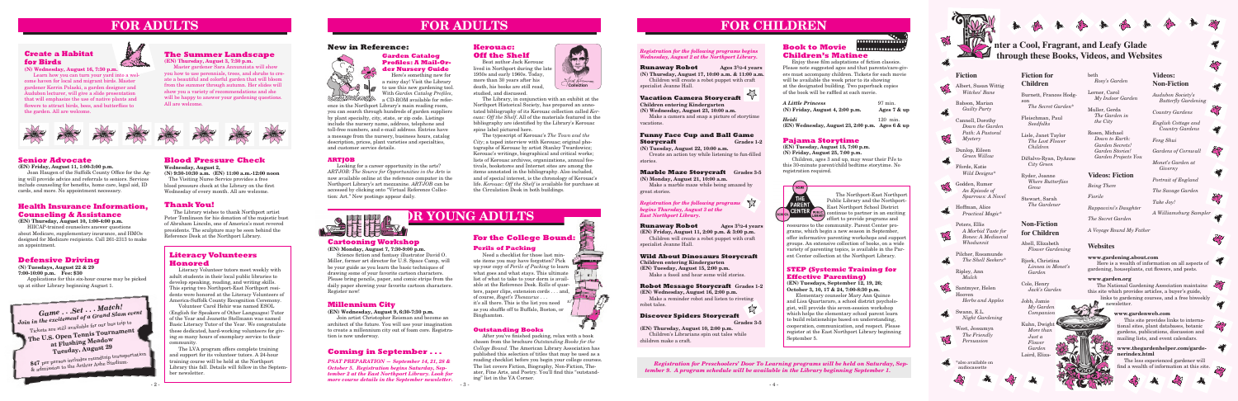**FOR CHILDREN**

**Pajama Storytime**

**(EN) Tuesday, August 15, 7:00 p.m. (N) Friday, August 25, 7:00 p.m.**

Children, ages 3 and up, may wear their PJs to this 30-minute parent/child bedtime storytime. No registration required.



# **Health Insurance Information, Counseling & Assistance**

**(EN) Thursday, August 10, 1:00-4:00 p.m.**

HIICAP-trained counselors answer questions about Medicare, supplementary insurance, and HMOs designed for Medicare recipients. Call 261-2313 to make an appointment.

## **Senior Advocate**

**(EN) Friday, August 11, 1:00-3:00 p.m.**

 Joan Haugen of the Suffolk County Office for the Aging will provide advice and referrals to seniors. Services include counseling for benefits, home care, legal aid, ID cards, and more. No appointment necessary.

# **FOR ADULTS FOR ADULTS**

# **Cartooning Workshop**

**(EN) Monday, August 7, 7:30-9:00 p.m.** Science fiction and fantasy illustrator David O. Miller, former art director for U.S. Space Camp, will be your guide as you learn the basic techniques of drawing some of your favorite cartoon characters. Please bring pencils, paper, and comic strips from the daily paper showing your favorite cartoon characters. Register now!

# **STEP (Systemic Training for Effective Parenting)**

**Runaway Robot** Ages  $3^{1}/2-4$  years **(N) Thursday, August 17, 10:00 a.m. & 11:00 a.m.** Children will create a robot puppet with craft specialist Jeanne Hall.

> **(EN) Tuesdays, September 12, 19, 26; October 3, 10, 17 & 24, 7:00-8:30 p.m.**

## **Funny Face Cup and Ball Game Storycraft Grades 1-2**

Elementary counselor Mary Ann Quince and Lisa Quartararo, a school district psychologist, will provide this seven-session workshop which helps the elementary school parent learn to build relationships based on understanding, cooperation, communication, and respect. Please register at the East Northport Library beginning September 5.

# **The Summer Landscape**

**(EN) Thursday, August 3, 7:30 p.m.**

**Runaway Robot** Ages  $3^{1/2-4}$  years **(EN) Friday, August 11, 2:00 p.m. & 3:00 p.m.** Children will create a robot puppet with craft specialist Jeanne Hall.

Master gardener Sara Annunziata will show you how to use perennials, trees, and shrubs to create a beautiful and colorful garden that will bloom from the summer through autumn. Her slides will show you a variety of recommendations and she will be happy to answer your gardening questions. All are welcome.



# **Millennium City**

**(EN) Wednesday, August 9, 6:30-7:30 p.m.**

Join artist Christopher Reisman and become an architect of the future. You will use your imagination to create a millennium city out of foam core. Registration is now underway.

# *Registration for the following programs begins Wednesday, August 2 at the Northport Library.*

# *N* inter a Cool, Fragrant, and Leafy Glade  **through these Books, Videos, and Websites**

# **Vacation Camera Storycraft**

**Children entering Kindergarten (N) Wednesday, August 23, 10:00 a.m.**

Make a camera and snap a picture of storytime vacations.

**(N) Tuesday, August 22, 10:00 a.m.**

 Create an action toy while listening to fun-filled stories.

#### **Marble Maze Storycraft Grades 3-5 (N) Monday, August 21, 10:00 a.m.**

Make a marble maze while being amazed by great stories.

#### **Book to Movie**  ................ **Children's Matinee**

Enjoy these film adaptations of fiction classics. Please note suggested ages and that parents/care-givers must accompany children. Tickets for each movie will be available the week prior to its showing at the designated building. Two paperback copies of the book will be raffled at each movie.

**111111111111111** 

| <b>A Little Princess</b>                                         | $97 \,\mathrm{min}$ . |
|------------------------------------------------------------------|-----------------------|
| $(N)$ Friday, August 4, 2:00 p.m.                                | Ages $7 &$ up         |
| <b>Heidi</b><br>(EN) Wednesday, August 23, 2:00 p.m. Ages 6 & up | $120$ min.            |

*Registration for the following programs begins Thursday, August 3 at the East Northport Library.*

#### **Wild About Dinosaurs Storycraft**

**Children entering Kindergarten (EN) Tuesday, August 15, 2:00 p.m.** Make a fossil and hear some wild stories.

# **Robot Message Storycraft Grades 1-2**

**(EN) Wednesday, August 16, 2:00 p.m.** Make a reminder robot and listen to riveting robot tales.

#### **Discover Spiders Storycraft Grades 3-5**

**(EN) Thursday, August 10, 2:00 p.m.** Children's Librarians spin out tales while children make a craft.

### **Outstanding Books**

 After you've finished packing, relax with a book chosen from the brochure *Outstanding Books for the College Bound*. The American Library Association has published this selection of titles that may be used as a reading checklist before you begin your college courses. The list covers Fiction, Biography, Non-Fiction, Theater, Fine Arts, and Poetry. You'll find this "outstanding" list in the YA Corner.

# **Coming in September . . .**

*PSAT PREPARATION — September 14, 21, 28 & October 5. Registration begins Saturday, September 2 at the East Northport Library. Look for more course details in the September newsletter.*

*Registration for Preschoolers' Door To Learning programs will be held on Saturday, September 9. A program schedule will be available in the Library beginning September 1.*





# **Fiction**



Albert, Susan Wittig *Witches' Bane*

Babson, Marian *Guilty Party*

Cannell, Dorothy *Down the Garden Path: A Pastoral Mystery*

Dunlop, Eileen *Green Willow*

Fforde, Katie *Wild Designs*\*

Godden, Rumer *An Episode of Sparrows: A Novel*

Hoffman, Alice *Practical Magic*\*

Peters, Ellis *A Morbid Taste for Bones: A Mediaeval Whodunnit*

Pilcher, Rosamunde *The Shell Seekers*\*

Ripley, Ann *Mulch*

Santmyer, Helen Hooven *Herbs and Apples*

Swann, E.L.

 $\mathbb{K}^2$ 

DE S

*Night Gardening*

West, Jessamyn

*The Friendly Persuasion*

# **Create a Habitat for Birds**



**(N) Wednesday, August 16, 7:30 p.m.**

Learn how you can turn your yard into a welcome haven for local and migrant birds. Master gardener Kerrin Polaski, a garden designer and Audubon lecturer, will give a slide presentation that will emphasize the use of native plants and flowers to attract birds, bees, and butterflies to the garden. All are welcome.

> Here is a wealth of information on all aspects of gardening, houseplants, cut flowers, and pests.

The National Gardening Association maintains this site which provides articles, a buyer's guide,

# **Literacy Volunteers Honored**

 The less experienced gardener will find a wealth of information at this site.



Literacy Volunteer tutors meet weekly with adult students in their local public libraries to develop speaking, reading, and writing skills. This spring two Northport-East Northport residents were honored at the Literacy Volunteers of America-Suffolk County Recognition Ceremony.

> Kuhn, Dwight *More than Just a Flower Garden* Laird, Eliza-

Volunteer Carol Hehir was named ESOL (English for Speakers of Other Languages) Tutor of the Year and Jeanette Stellmann was named Basic Literacy Tutor of the Year. We congratulate these dedicated, hard-working volunteers for giving so many hours of exemplary service to their community.

The LVA program offers complete training and support for its volunteer tutors. A 24-hour training course will be held at the Northport Library this fall. Details will follow in the September newsletter.

# **Fiction for Children**

Burnett, Frances Hodgson *The Secret Garden*\*

Fleischman, Paul *Seedfolks*

Lisle, Janet Taylor *The Lost Flower Children*

DiSalvo-Ryan, DyAnne *City Green*

Ryder, Joanne *Where Butterflies Grow*

Stewart, Sarah *The Gardener*

# **Videos: Non-Fiction**

*Audubon Society's Butterfly Gardening*

*Country Gardens*

*English Cottage and Country Gardens*

*Feng Shui*

*Gardens of Cornwall*

*Monet's Garden at Giverny*

*Portrait of England*

*The Savage Garden*

*Take Joy! A Williamsburg Sampler*

**A** 

47













**CONTRACTOR** 



beth *Rosy's Garden*

Lerner, Carol *My Indoor Garden*

Muller, Gerda *The Garden in the City*

Rosen, Michael *Down to Earth: Garden Secrets! Garden Stories! Garden Projects You* 

The Northport-East Northport Public Library and the Northport-East Northport School District continue to partner in an exciting effort to provide programs and

resources to the community. Parent Center programs, which begin a new season in September, offer informative parenting workshops and support groups. An extensive collection of books, on a wide variety of parenting topics, is available in the Parent Center collection at the Northport Library.

# **Blood Pressure Check**

**Wednesday, August 2, (N) 9:30-10:30 a.m. (EN) 11:00 a.m.-12:00 noon** The Visiting Nurse Service provides a free

blood pressure check at the Library on the first Wednesday of every month. All are welcome.

# **Thank You!**

The Library wishes to thank Northport artist Peter Tomlinson for his donation of the majestic bust of Abraham Lincoln, one of America's most revered presidents. The sculpture may be seen behind the Reference Desk at the Northport Library.



## **New in Reference:**



# **Defensive Driving**

**(N) Tuesdays, August 22 & 29 7:00-10:00 p.m. Fee: \$30**  Applications for this six-hour course may be picked up at either Library beginning August 1.

# **Kerouac: Off the Shelf**

#### **Perils of Packing**

Need a checklist for those last minute items you may have forgotten? Pick up your copy of *Perils of Packing* to learn what goes and what stays. This ultimate list of what to take to your dorm is available at the Reference Desk. Rolls of quarters, paper clips, extension cords . . . and, of course, *Roget's Thesaurus* . . . it's all there. This is the list you need as you shuffle off to Buffalo, Boston, or Binghamton.

# **For the College Bound:**

# **Videos: Fiction**

*Being There*

*Fiorile*

*Rappaccini's Daughter*

*The Secret Garden*

*A Voyage Round My Father*

# **Garden Catalog Profiles: A Mail-Order Nursery Guide**

Beat author Jack Kerouac lived in Northport during the lat 1950s and early 1960s. Today, more than 30 years after his death, his books are still read, studied, and discussed.

Here's something new for a rainy day! Visit the Library  $\Box$  to use this new gardening tool. With *Garden Catalog Profiles*, a CD-ROM available for refer-

ence in the Northport Library's main reading room, you can search through hundreds of garden suppliers by plant specialty, city, state, or zip code. Listings include the nursery name, address, telephone and toll-free numbers, and e-mail address. Entries have a message from the nursery, business hours, catalog description, prices, plant varieties and specialties, and customer service details.

## **ARTJOB**

Looking for a career opportunity in the arts? *ARTJOB: The Source for Opportunities in the Arts* is now available online at the reference computer in the Northport Library's art mezzanine. *ARTJOB* can be accessed by clicking onto "Virtual Reference Collection: Art." New postings appear daily.



**Collection**

Hack Rerouse

 The Library, in conjunction with an exhibit at the Northport Historical Society, has prepared an annotated bibliography of its Kerouac collection called *Kerouac: Off the Shelf*. All of the materials featured in the bibliography are identified by the Library's Kerouac spine label pictured here.

The typescript of Kerouac's *The Town and the City*; a taped interview with Kerouac; original photographs of Kerouac by artist Stanley Twardowicz; Kerouac's writings, biographical and critical works; lists of Kerouac archives, organizations, annual festivals, bookstores and Internet sites are among the items annotated in the bibliography. Also included, and of special interest, is the chronology of Kerouac's life. *Kerouac: Off the Shelf* is available for purchase at the Circulation Desk in both buildings.

# **FRANCISE YOUNG ADULTS**

# **Websites**

#### **www.gardening.about.com**

#### **www.garden.org**

links to gardening courses, and a free biweekly newsletter.

### **www.gardenweb.com**

This site provides links to international sites, plant databases, botanic gardens, publications, discussion and mailing lists, and event calendars.



# **Non-Fiction for Children**

Abell, Elizabeth *Flower Gardening*

Bjork, Christina *Linnea in Monet's Garden*

Cole, Henry *Jack's Garden*

Jobb, Jamie *My Garden Companion*